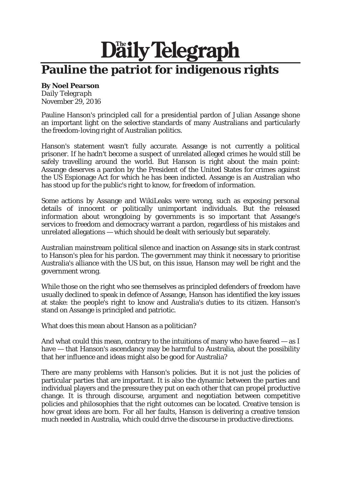## Daily Telegraph **Pauline the patriot for indigenous rights**

## **By Noel Pearson**

*Daily Telegraph*  November 29, 2016

Pauline Hanson's principled call for a presidential pardon of Julian Assange shone an important light on the selective standards of many Australians and particularly the freedom-loving right of Australian politics.

Hanson's statement wasn't fully accurate. Assange is not currently a political prisoner. If he hadn't become a suspect of unrelated alleged crimes he would still be safely travelling around the world. But Hanson is right about the main point: Assange deserves a pardon by the President of the United States for crimes against the US Espionage Act for which he has been indicted. Assange is an Australian who has stood up for the public's right to know, for freedom of information.

Some actions by Assange and WikiLeaks were wrong, such as exposing personal details of innocent or politically unimportant individuals. But the released information about wrongdoing by governments is so important that Assange's services to freedom and democracy warrant a pardon, regardless of his mistakes and unrelated allegations — which should be dealt with seriously but separately.

Australian mainstream political silence and inaction on Assange sits in stark contrast to Hanson's plea for his pardon. The government may think it necessary to prioritise Australia's alliance with the US but, on this issue, Hanson may well be right and the government wrong.

While those on the right who see themselves as principled defenders of freedom have usually declined to speak in defence of Assange, Hanson has identified the key issues at stake: the people's right to know and Australia's duties to its citizen. Hanson's stand on Assange is principled and patriotic.

What does this mean about Hanson as a politician?

And what could this mean, contrary to the intuitions of many who have feared – as I have — that Hanson's ascendancy may be harmful to Australia, about the possibility that her influence and ideas might also be good for Australia?

There are many problems with Hanson's policies. But it is not just the policies of particular parties that are important. It is also the dynamic between the parties and individual players and the pressure they put on each other that can propel productive change. It is through discourse, argument and negotiation between competitive policies and philosophies that the right outcomes can be located. Creative tension is how great ideas are born. For all her faults, Hanson is delivering a creative tension much needed in Australia, which could drive the discourse in productive directions.